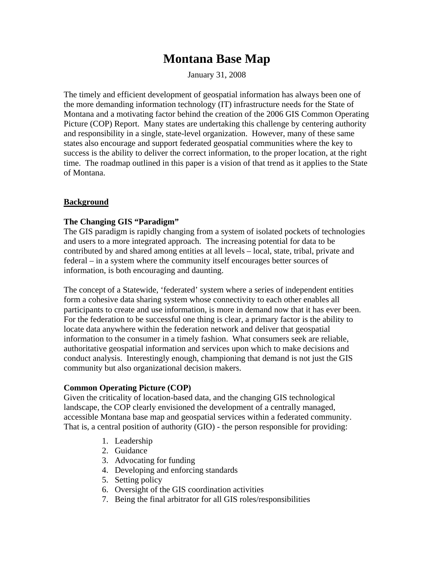# **Montana Base Map**

January 31, 2008

The timely and efficient development of geospatial information has always been one of the more demanding information technology (IT) infrastructure needs for the State of Montana and a motivating factor behind the creation of the 2006 GIS Common Operating Picture (COP) Report. Many states are undertaking this challenge by centering authority and responsibility in a single, state-level organization. However, many of these same states also encourage and support federated geospatial communities where the key to success is the ability to deliver the correct information, to the proper location, at the right time. The roadmap outlined in this paper is a vision of that trend as it applies to the State of Montana.

## **Background**

## **The Changing GIS "Paradigm"**

The GIS paradigm is rapidly changing from a system of isolated pockets of technologies and users to a more integrated approach. The increasing potential for data to be contributed by and shared among entities at all levels – local, state, tribal, private and federal – in a system where the community itself encourages better sources of information, is both encouraging and daunting.

The concept of a Statewide, 'federated' system where a series of independent entities form a cohesive data sharing system whose connectivity to each other enables all participants to create and use information, is more in demand now that it has ever been. For the federation to be successful one thing is clear, a primary factor is the ability to locate data anywhere within the federation network and deliver that geospatial information to the consumer in a timely fashion. What consumers seek are reliable, authoritative geospatial information and services upon which to make decisions and conduct analysis. Interestingly enough, championing that demand is not just the GIS community but also organizational decision makers.

### **Common Operating Picture (COP)**

Given the criticality of location-based data, and the changing GIS technological landscape, the COP clearly envisioned the development of a centrally managed, accessible Montana base map and geospatial services within a federated community. That is, a central position of authority (GIO) - the person responsible for providing:

- 1. Leadership
- 2. Guidance
- 3. Advocating for funding
- 4. Developing and enforcing standards
- 5. Setting policy
- 6. Oversight of the GIS coordination activities
- 7. Being the final arbitrator for all GIS roles/responsibilities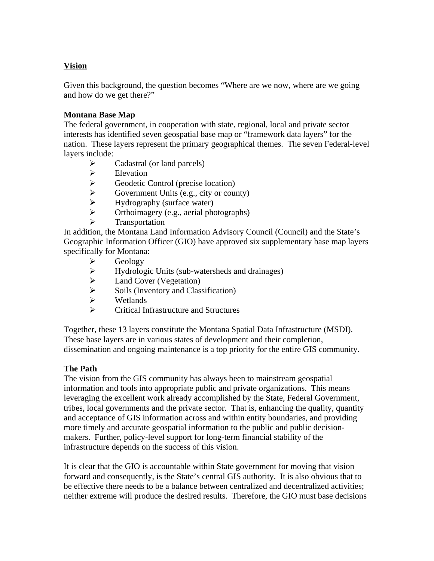## **Vision**

Given this background, the question becomes "Where are we now, where are we going and how do we get there?"

### **Montana Base Map**

 The federal government, in cooperation with state, regional, local and private sector interests has identified seven geospatial base map or "framework data layers" for the nation. These layers represent the primary geographical themes. The seven Federal-level layers include:

- $\triangleright$  Cadastral (or land parcels)
- $\triangleright$  Elevation
- $\triangleright$  Geodetic Control (precise location)<br> $\triangleright$  Government Units (e.g., city or course
- Government Units (e.g., city or county)
- $\triangleright$  Hydrography (surface water)
- $\triangleright$  Orthoimagery (e.g., aerial photographs)
	- Transportation

In addition, the Montana Land Information Advisory Council (Council) and the State's Geographic Information Officer (GIO) have approved six supplementary base map layers specifically for Montana:

- $\triangleright$  Geology
- $\triangleright$  Hydrologic Units (sub-watersheds and drainages)
- $\geq$  Land Cover (Vegetation)<br> $\geq$  Soils (Inventory and Class
- Soils (Inventory and Classification)
- Wetlands
- $\triangleright$  Critical Infrastructure and Structures

Together, these 13 layers constitute the Montana Spatial Data Infrastructure (MSDI). These base layers are in various states of development and their completion, dissemination and ongoing maintenance is a top priority for the entire GIS community.

#### **The Path**

The vision from the GIS community has always been to mainstream geospatial information and tools into appropriate public and private organizations. This means leveraging the excellent work already accomplished by the State, Federal Government, tribes, local governments and the private sector. That is, enhancing the quality, quantity and acceptance of GIS information across and within entity boundaries, and providing more timely and accurate geospatial information to the public and public decisionmakers. Further, policy-level support for long-term financial stability of the infrastructure depends on the success of this vision.

It is clear that the GIO is accountable within State government for moving that vision forward and consequently, is the State's central GIS authority. It is also obvious that to be effective there needs to be a balance between centralized and decentralized activities; neither extreme will produce the desired results. Therefore, the GIO must base decisions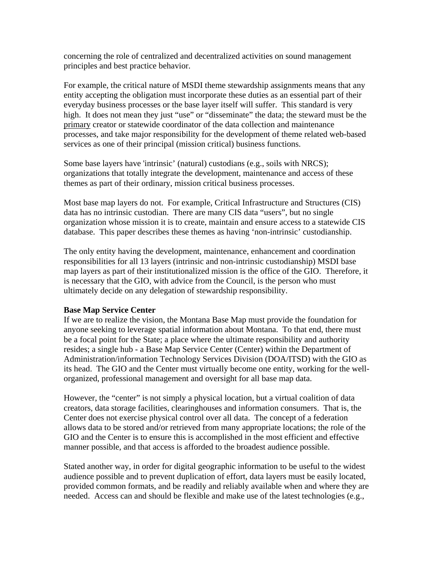concerning the role of centralized and decentralized activities on sound management principles and best practice behavior.

For example, the critical nature of MSDI theme stewardship assignments means that any entity accepting the obligation must incorporate these duties as an essential part of their everyday business processes or the base layer itself will suffer. This standard is very high. It does not mean they just "use" or "disseminate" the data; the steward must be the primary creator or statewide coordinator of the data collection and maintenance processes, and take major responsibility for the development of theme related web-based services as one of their principal (mission critical) business functions.

Some base layers have 'intrinsic' (natural) custodians (e.g., soils with NRCS); organizations that totally integrate the development, maintenance and access of these themes as part of their ordinary, mission critical business processes.

Most base map layers do not. For example, Critical Infrastructure and Structures (CIS) data has no intrinsic custodian. There are many CIS data "users", but no single organization whose mission it is to create, maintain and ensure access to a statewide CIS database. This paper describes these themes as having 'non-intrinsic' custodianship.

The only entity having the development, maintenance, enhancement and coordination responsibilities for all 13 layers (intrinsic and non-intrinsic custodianship) MSDI base map layers as part of their institutionalized mission is the office of the GIO. Therefore, it is necessary that the GIO, with advice from the Council, is the person who must ultimately decide on any delegation of stewardship responsibility.

#### **Base Map Service Center**

If we are to realize the vision, the Montana Base Map must provide the foundation for anyone seeking to leverage spatial information about Montana. To that end, there must be a focal point for the State; a place where the ultimate responsibility and authority resides; a single hub - a Base Map Service Center (Center) within the Department of Administration/information Technology Services Division (DOA/ITSD) with the GIO as its head. The GIO and the Center must virtually become one entity, working for the wellorganized, professional management and oversight for all base map data.

However, the "center" is not simply a physical location, but a virtual coalition of data creators, data storage facilities, clearinghouses and information consumers. That is, the Center does not exercise physical control over all data. The concept of a federation allows data to be stored and/or retrieved from many appropriate locations; the role of the GIO and the Center is to ensure this is accomplished in the most efficient and effective manner possible, and that access is afforded to the broadest audience possible.

Stated another way, in order for digital geographic information to be useful to the widest audience possible and to prevent duplication of effort, data layers must be easily located, provided common formats, and be readily and reliably available when and where they are needed. Access can and should be flexible and make use of the latest technologies (e.g.,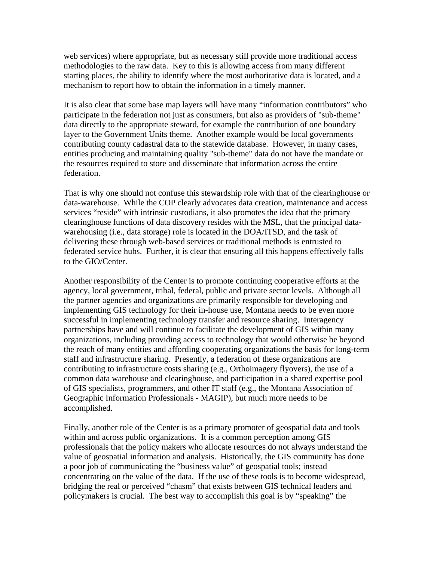web services) where appropriate, but as necessary still provide more traditional access methodologies to the raw data. Key to this is allowing access from many different starting places, the ability to identify where the most authoritative data is located, and a mechanism to report how to obtain the information in a timely manner.

It is also clear that some base map layers will have many "information contributors" who participate in the federation not just as consumers, but also as providers of "sub-theme" data directly to the appropriate steward, for example the contribution of one boundary layer to the Government Units theme. Another example would be local governments contributing county cadastral data to the statewide database. However, in many cases, entities producing and maintaining quality "sub-theme" data do not have the mandate or the resources required to store and disseminate that information across the entire federation.

That is why one should not confuse this stewardship role with that of the clearinghouse or data-warehouse. While the COP clearly advocates data creation, maintenance and access services "reside" with intrinsic custodians, it also promotes the idea that the primary clearinghouse functions of data discovery resides with the MSL, that the principal datawarehousing (i.e., data storage) role is located in the DOA/ITSD, and the task of delivering these through web-based services or traditional methods is entrusted to federated service hubs. Further, it is clear that ensuring all this happens effectively falls to the GIO/Center.

Another responsibility of the Center is to promote continuing cooperative efforts at the agency, local government, tribal, federal, public and private sector levels. Although all the partner agencies and organizations are primarily responsible for developing and implementing GIS technology for their in-house use, Montana needs to be even more successful in implementing technology transfer and resource sharing. Interagency partnerships have and will continue to facilitate the development of GIS within many organizations, including providing access to technology that would otherwise be beyond the reach of many entities and affording cooperating organizations the basis for long-term staff and infrastructure sharing. Presently, a federation of these organizations are contributing to infrastructure costs sharing (e.g., Orthoimagery flyovers), the use of a common data warehouse and clearinghouse, and participation in a shared expertise pool of GIS specialists, programmers, and other IT staff (e.g., the Montana Association of Geographic Information Professionals - MAGIP), but much more needs to be accomplished.

Finally, another role of the Center is as a primary promoter of geospatial data and tools within and across public organizations. It is a common perception among GIS professionals that the policy makers who allocate resources do not always understand the value of geospatial information and analysis. Historically, the GIS community has done a poor job of communicating the "business value" of geospatial tools; instead concentrating on the value of the data. If the use of these tools is to become widespread, bridging the real or perceived "chasm" that exists between GIS technical leaders and policymakers is crucial. The best way to accomplish this goal is by "speaking" the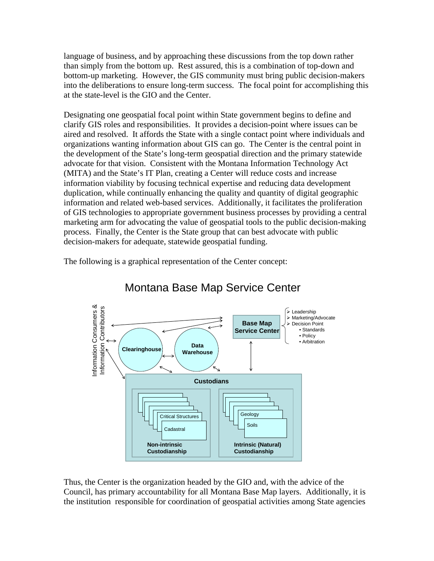language of business, and by approaching these discussions from the top down rather than simply from the bottom up. Rest assured, this is a combination of top-down and bottom-up marketing. However, the GIS community must bring public decision-makers into the deliberations to ensure long-term success. The focal point for accomplishing this at the state-level is the GIO and the Center.

Designating one geospatial focal point within State government begins to define and clarify GIS roles and responsibilities. It provides a decision-point where issues can be aired and resolved. It affords the State with a single contact point where individuals and organizations wanting information about GIS can go. The Center is the central point in the development of the State's long-term geospatial direction and the primary statewide advocate for that vision. Consistent with the Montana Information Technology Act (MITA) and the State's IT Plan, creating a Center will reduce costs and increase information viability by focusing technical expertise and reducing data development duplication, while continually enhancing the quality and quantity of digital geographic information and related web-based services. Additionally, it facilitates the proliferation of GIS technologies to appropriate government business processes by providing a central marketing arm for advocating the value of geospatial tools to the public decision-making process. Finally, the Center is the State group that can best advocate with public decision-makers for adequate, statewide geospatial funding.

The following is a graphical representation of the Center concept:



# Montana Base Map Service Center

Thus, the Center is the organization headed by the GIO and, with the advice of the Council, has primary accountability for all Montana Base Map layers. Additionally, it is the institution responsible for coordination of geospatial activities among State agencies